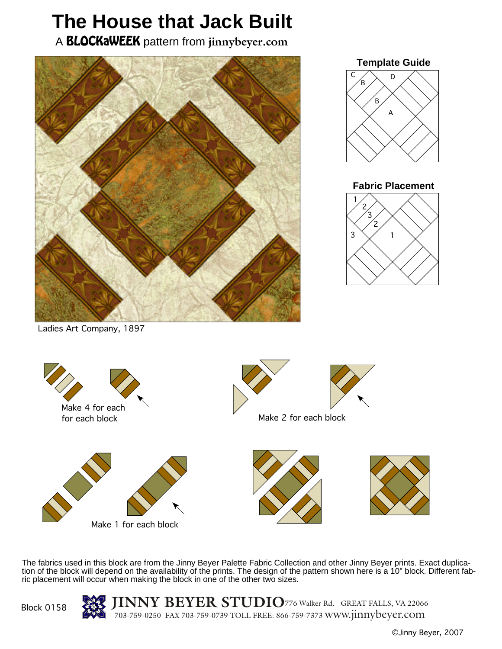## **The House that Jack Built**

A BLOCKaWEEK pattern from **jinnybeyer.com**





## **Fabric Placement**



Ladies Art Company, 1897



The fabrics used in this block are from the Jinny Beyer Palette Fabric Collection and other Jinny Beyer prints. Exact duplication of the block will depend on the availability of the prints. The design of the pattern shown here is a 10" block. Different fabric placement will occur when making the block in one of the other two sizes.



**JINNY BEYER STUDIO**<sup>776</sup> Walker Rd. GREAT FALLS, VA <sup>22066</sup> 703-759-0250 FAX 703-759-0739 TOLL FREE: 866-759-7373 www.jinnybeyer.com

©Jinny Beyer, 2007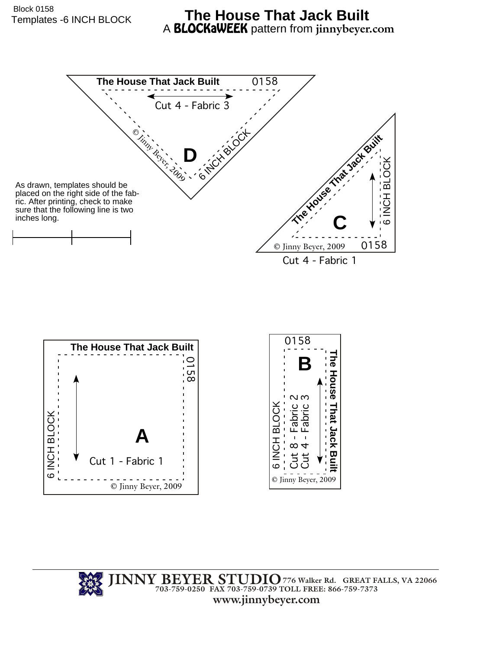## Templates -6 INCH BLOCK **The House That Jack Built** A BLOCKaWEEK pattern from **jinnybeyer.com**



**JINNY BEYER STUDIO 703-759-0250 FAX 703-759-0739 TOLL FREE: 866-759-7373 www.jinnybeyer.com 776 Walker Rd. GREAT FALLS, VA 22066**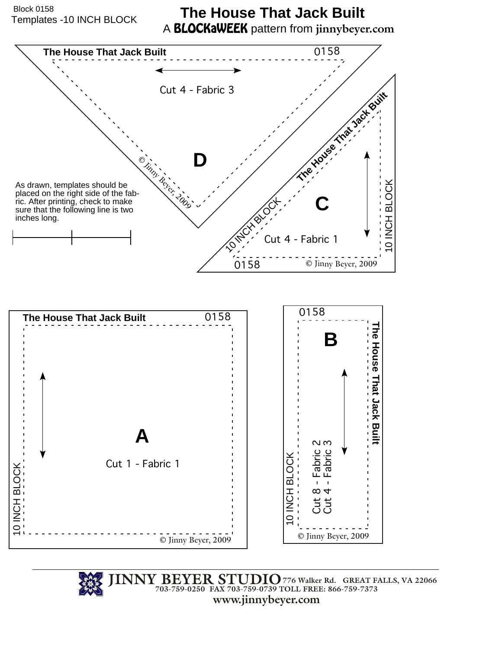Templates -10 INCH BLOCK Block 0158

## **The House That Jack Built** A BLOCKaWEEK pattern from **jinnybeyer.com**



**JINNY BEYER STUDIO 703-759-0250 FAX 703-759-0739 TOLL FREE: 866-759-7373 www.jinnybeyer.com 776 Walker Rd. GREAT FALLS, VA 22066**